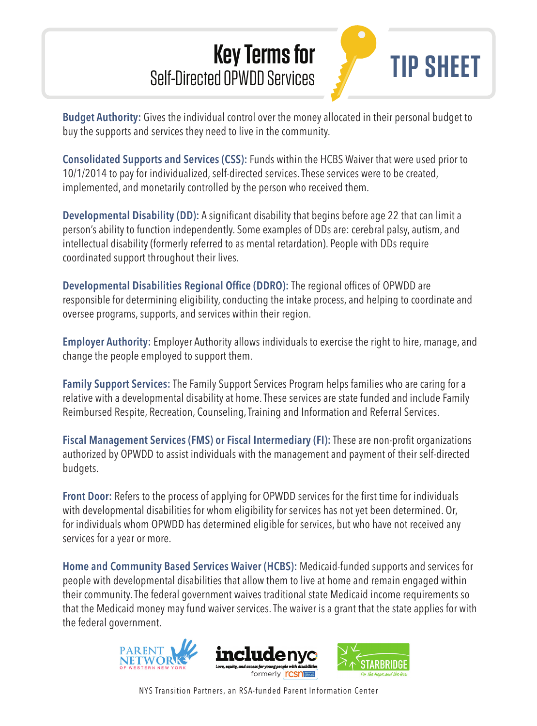## **Key Terms for**  Self-Directed OPWDD Services



**Budget Authority:** Gives the individual control over the money allocated in their personal budget to buy the supports and services they need to live in the community.

**Consolidated Supports and Services (CSS):** Funds within the HCBS Waiver that were used prior to 10/1/2014 to pay for individualized, self-directed services. These services were to be created, implemented, and monetarily controlled by the person who received them.

**Developmental Disability (DD):** A significant disability that begins before age 22 that can limit a person's ability to function independently. Some examples of DDs are: cerebral palsy, autism, and intellectual disability (formerly referred to as mental retardation). People with DDs require coordinated support throughout their lives.

**Developmental Disabilities Regional Office (DDRO):** The regional offices of OPWDD are responsible for determining eligibility, conducting the intake process, and helping to coordinate and oversee programs, supports, and services within their region.

**Employer Authority:** Employer Authority allows individuals to exercise the right to hire, manage, and change the people employed to support them.

**Family Support Services:** The Family Support Services Program helps families who are caring for a relative with a developmental disability at home. These services are state funded and include Family Reimbursed Respite, Recreation, Counseling, Training and Information and Referral Services.

**Fiscal Management Services (FMS) or Fiscal Intermediary (FI):** These are non-profit organizations authorized by OPWDD to assist individuals with the management and payment of their self-directed budgets.

**Front Door:** Refers to the process of applying for OPWDD services for the first time for individuals with developmental disabilities for whom eligibility for services has not yet been determined. Or, for individuals whom OPWDD has determined eligible for services, but who have not received any services for a year or more.

**Home and Community Based Services Waiver (HCBS):** Medicaid-funded supports and services for people with developmental disabilities that allow them to live at home and remain engaged within their community. The federal government waives traditional state Medicaid income requirements so that the Medicaid money may fund waiver services. The waiver is a grant that the state applies for with the federal government.







NYS Transition Partners, an RSA-funded Parent Information Center